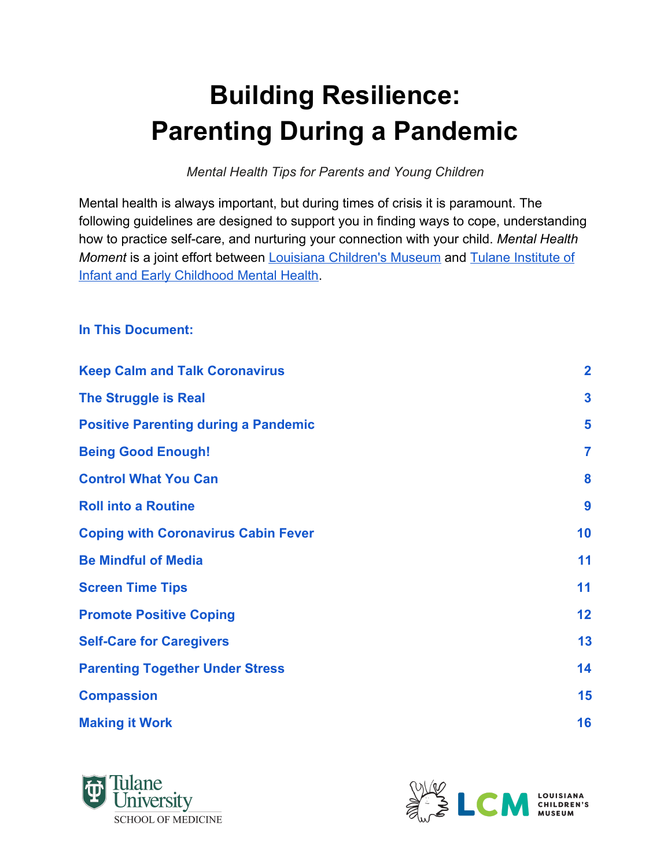# **Building Resilience: Parenting During a Pandemic**

*Mental Health Tips for Parents and Young Children*

Mental health is always important, but during times of crisis it is paramount. The following guidelines are designed to support you in finding ways to cope, understanding how to practice self-care, and nurturing your connection with your child. *Mental Health Moment* is a joint effort between [Louisiana Children's Museum](https://www.lcm.org/) and [Tulane Institute of](https://medicine.tulane.edu/infant-institute) [Infant and Early Childhood Mental Health.](https://medicine.tulane.edu/infant-institute)

#### **In This Document:**

| <b>Keep Calm and Talk Coronavirus</b>       | $\overline{\mathbf{2}}$ |
|---------------------------------------------|-------------------------|
| <b>The Struggle is Real</b>                 | $\overline{\mathbf{3}}$ |
| <b>Positive Parenting during a Pandemic</b> | 5                       |
| <b>Being Good Enough!</b>                   | $\overline{7}$          |
| <b>Control What You Can</b>                 | 8                       |
| <b>Roll into a Routine</b>                  | 9                       |
| <b>Coping with Coronavirus Cabin Fever</b>  | 10                      |
| <b>Be Mindful of Media</b>                  | 11                      |
| <b>Screen Time Tips</b>                     | 11                      |
| <b>Promote Positive Coping</b>              | 12                      |
| <b>Self-Care for Caregivers</b>             | 13                      |
| <b>Parenting Together Under Stress</b>      | 14                      |
| <b>Compassion</b>                           | 15                      |
| <b>Making it Work</b>                       | 16                      |
|                                             |                         |



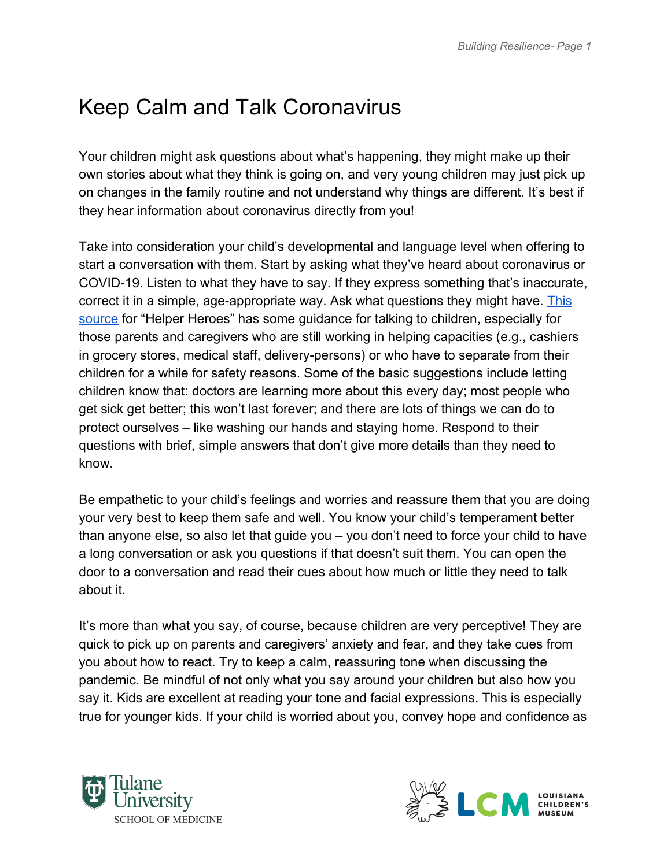#### <span id="page-1-0"></span>Keep Calm and Talk Coronavirus

Your children might ask questions about what's happening, they might make up their own stories about what they think is going on, and very young children may just pick up on changes in the family routine and not understand why things are different. It's best if they hear information about coronavirus directly from you!

Take into consideration your child's developmental and language level when offering to start a conversation with them. Start by asking what they've heard about coronavirus or COVID-19. Listen to what they have to say. If they express something that's inaccurate, correct it in a simple, age-appropriate way. Ask what questions they might have. [This](http://childparentpsychotherapy.com/wp-content/uploads/2020/04/HealthCareHeroes_Kids_Covid19.pdf?fbclid=IwAR050XQMI1k2gon_-35paCxfU8ALg_oQ_zlymcl7nW9oXuVv3i1gzT6Y65A) [source](http://childparentpsychotherapy.com/wp-content/uploads/2020/04/HealthCareHeroes_Kids_Covid19.pdf?fbclid=IwAR050XQMI1k2gon_-35paCxfU8ALg_oQ_zlymcl7nW9oXuVv3i1gzT6Y65A) for "Helper Heroes" has some guidance for talking to children, especially for those parents and caregivers who are still working in helping capacities (e.g., cashiers in grocery stores, medical staff, delivery-persons) or who have to separate from their children for a while for safety reasons. Some of the basic suggestions include letting children know that: doctors are learning more about this every day; most people who get sick get better; this won't last forever; and there are lots of things we can do to protect ourselves – like washing our hands and staying home. Respond to their questions with brief, simple answers that don't give more details than they need to know.

Be empathetic to your child's feelings and worries and reassure them that you are doing your very best to keep them safe and well. You know your child's temperament better than anyone else, so also let that guide you – you don't need to force your child to have a long conversation or ask you questions if that doesn't suit them. You can open the door to a conversation and read their cues about how much or little they need to talk about it.

It's more than what you say, of course, because children are very perceptive! They are quick to pick up on parents and caregivers' anxiety and fear, and they take cues from you about how to react. Try to keep a calm, reassuring tone when discussing the pandemic. Be mindful of not only what you say around your children but also how you say it. Kids are excellent at reading your tone and facial expressions. This is especially true for younger kids. If your child is worried about you, convey hope and confidence as



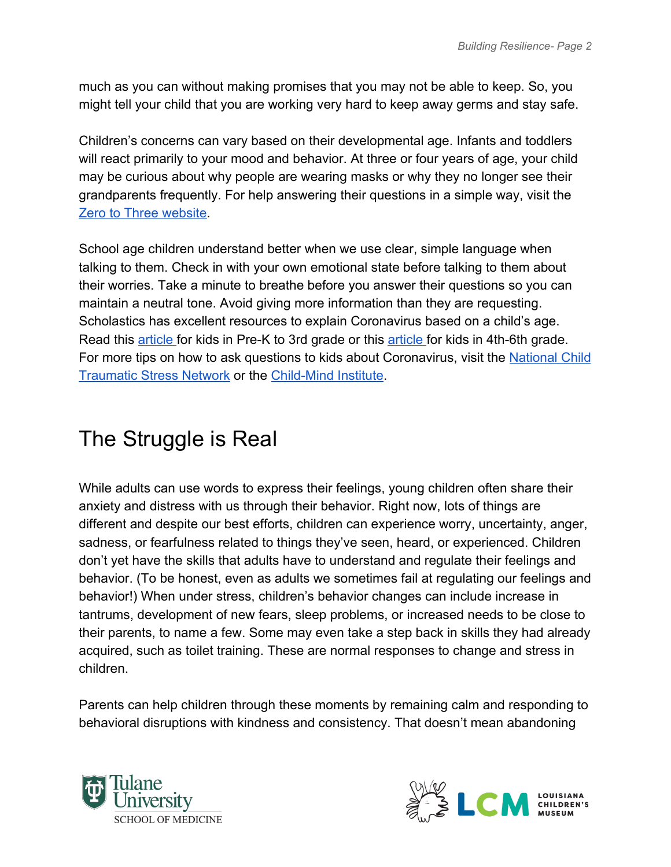much as you can without making promises that you may not be able to keep. So, you might tell your child that you are working very hard to keep away germs and stay safe.

Children's concerns can vary based on their developmental age. Infants and toddlers will react primarily to your mood and behavior. At three or four years of age, your child may be curious about why people are wearing masks or why they no longer see their grandparents frequently. For help answering their questions in a simple way, visit the [Zero to Three website.](https://www.zerotothree.org/resources/3265-answering-your-young-child-s-questions-about-coronavirus)

School age children understand better when we use clear, simple language when talking to them. Check in with your own emotional state before talking to them about their worries. Take a minute to breathe before you answer their questions so you can maintain a neutral tone. Avoid giving more information than they are requesting. Scholastics has excellent resources to explain Coronavirus based on a child's age. Read this [article](https://letsfindout.scholastic.com/etc/classroom-magazines/reader.html?id=8-010319) for kids in Pre-K to 3rd grade or this [article](https://sn56.scholastic.com/issues/2019-20/031620/coronavirus.html#On%20Level) for kids in 4th-6th grade. For more tips on how to ask questions to kids about Coronavirus, visit the [National Child](https://www.nctsn.org/sites/default/files/resources/fact-sheet/supportingchildren-covid-factsheet.pdf) [Traumatic Stress Network](https://www.nctsn.org/sites/default/files/resources/fact-sheet/supportingchildren-covid-factsheet.pdf) or the [Child-Mind Institute](https://childmind.org/article/talking-to-kids-about-the-coronavirus/).

#### <span id="page-2-0"></span>The Struggle is Real

While adults can use words to express their feelings, young children often share their anxiety and distress with us through their behavior. Right now, lots of things are different and despite our best efforts, children can experience worry, uncertainty, anger, sadness, or fearfulness related to things they've seen, heard, or experienced. Children don't yet have the skills that adults have to understand and regulate their feelings and behavior. (To be honest, even as adults we sometimes fail at regulating our feelings and behavior!) When under stress, children's behavior changes can include increase in tantrums, development of new fears, sleep problems, or increased needs to be close to their parents, to name a few. Some may even take a step back in skills they had already acquired, such as toilet training. These are normal responses to change and stress in children.

Parents can help children through these moments by remaining calm and responding to behavioral disruptions with kindness and consistency. That doesn't mean abandoning



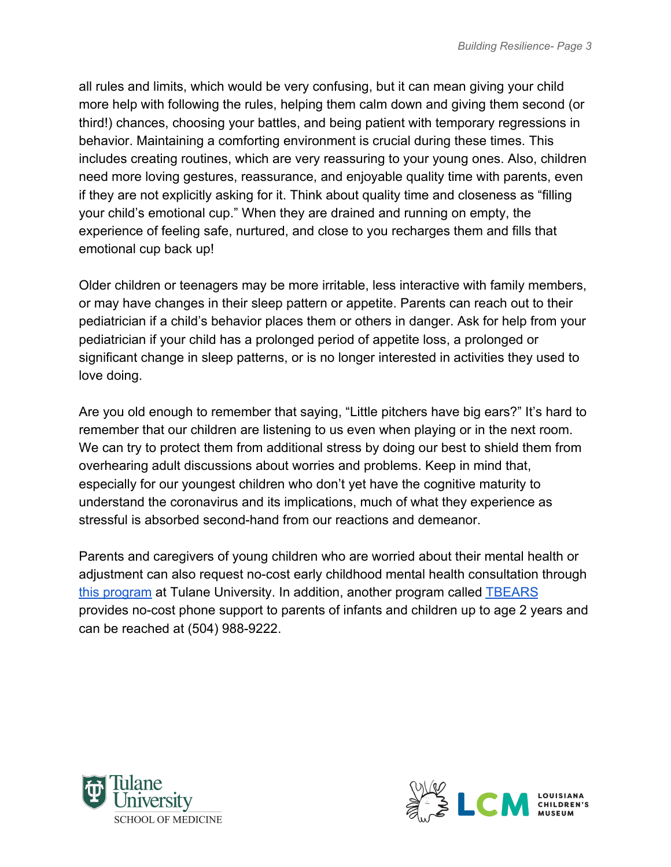all rules and limits, which would be very confusing, but it can mean giving your child more help with following the rules, helping them calm down and giving them second (or third!) chances, choosing your battles, and being patient with temporary regressions in behavior. Maintaining a comforting environment is crucial during these times. This includes creating routines, which are very reassuring to your young ones. Also, children need more loving gestures, reassurance, and enjoyable quality time with parents, even if they are not explicitly asking for it. Think about quality time and closeness as "filling your child's emotional cup." When they are drained and running on empty, the experience of feeling safe, nurtured, and close to you recharges them and fills that emotional cup back up!

Older children or teenagers may be more irritable, less interactive with family members, or may have changes in their sleep pattern or appetite. Parents can reach out to their pediatrician if a child's behavior places them or others in danger. Ask for help from your pediatrician if your child has a prolonged period of appetite loss, a prolonged or significant change in sleep patterns, or is no longer interested in activities they used to love doing.

Are you old enough to remember that saying, "Little pitchers have big ears?" It's hard to remember that our children are listening to us even when playing or in the next room. We can try to protect them from additional stress by doing our best to shield them from overhearing adult discussions about worries and problems. Keep in mind that, especially for our youngest children who don't yet have the cognitive maturity to understand the coronavirus and its implications, much of what they experience as stressful is absorbed second-hand from our reactions and demeanor.

Parents and caregivers of young children who are worried about their mental health or adjustment can also request no-cost early childhood mental health consultation through [this program](https://medicine.tulane.edu/departments/clinical-sciences/psychiatry/research/tikes) at Tulane University. In addition, another program called [TBEARS](http://www.tbears.org/) provides no-cost phone support to parents of infants and children up to age 2 years and can be reached at (504) 988-9222.



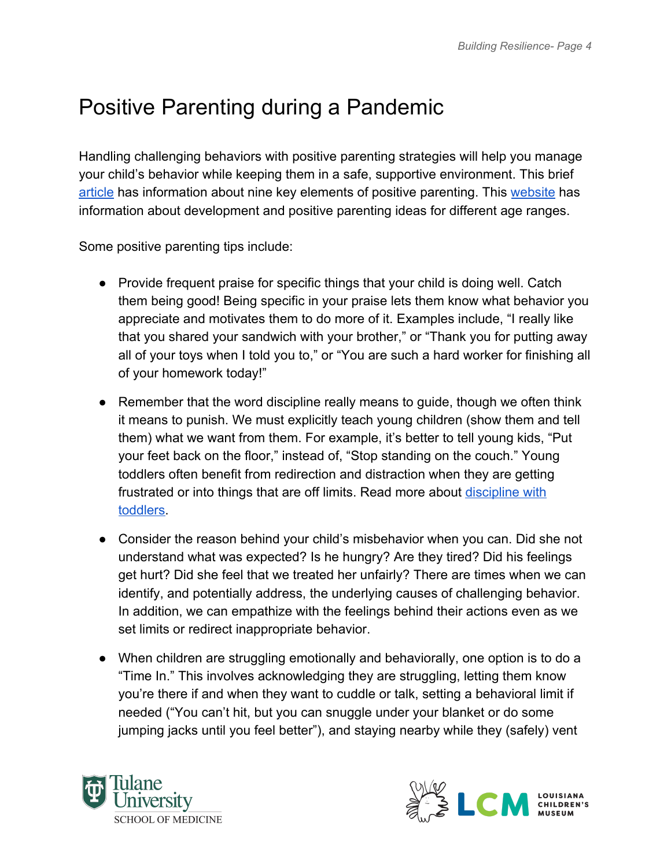#### <span id="page-4-0"></span>Positive Parenting during a Pandemic

Handling challenging behaviors with positive parenting strategies will help you manage your child's behavior while keeping them in a safe, supportive environment. This brief [article](https://www.zerotothree.org/resources/2198-nine-elements-that-power-positive-parenting) has information about nine key elements of positive parenting. This [website](https://www.cdc.gov/ncbddd/childdevelopment/positiveparenting/index.html) has information about development and positive parenting ideas for different age ranges.

Some positive parenting tips include:

- Provide frequent praise for specific things that your child is doing well. Catch them being good! Being specific in your praise lets them know what behavior you appreciate and motivates them to do more of it. Examples include, "I really like that you shared your sandwich with your brother," or "Thank you for putting away all of your toys when I told you to," or "You are such a hard worker for finishing all of your homework today!"
- Remember that the word discipline really means to guide, though we often think it means to punish. We must explicitly teach young children (show them and tell them) what we want from them. For example, it's better to tell young kids, "Put your feet back on the floor," instead of, "Stop standing on the couch." Young toddlers often benefit from redirection and distraction when they are getting frustrated or into things that are off limits. Read more about [discipline with](https://childmind.org/article/how-discipline-toddlers/) [toddlers.](https://childmind.org/article/how-discipline-toddlers/)
- Consider the reason behind your child's misbehavior when you can. Did she not understand what was expected? Is he hungry? Are they tired? Did his feelings get hurt? Did she feel that we treated her unfairly? There are times when we can identify, and potentially address, the underlying causes of challenging behavior. In addition, we can empathize with the feelings behind their actions even as we set limits or redirect inappropriate behavior.
- When children are struggling emotionally and behaviorally, one option is to do a "Time In." This involves acknowledging they are struggling, letting them know you're there if and when they want to cuddle or talk, setting a behavioral limit if needed ("You can't hit, but you can snuggle under your blanket or do some jumping jacks until you feel better"), and staying nearby while they (safely) vent



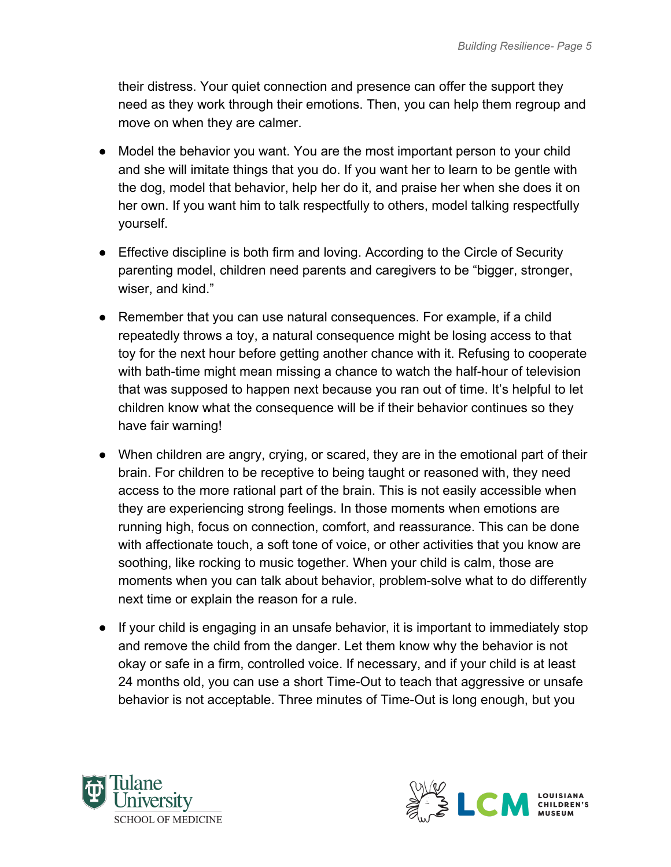their distress. Your quiet connection and presence can offer the support they need as they work through their emotions. Then, you can help them regroup and move on when they are calmer.

- Model the behavior you want. You are the most important person to your child and she will imitate things that you do. If you want her to learn to be gentle with the dog, model that behavior, help her do it, and praise her when she does it on her own. If you want him to talk respectfully to others, model talking respectfully yourself.
- Effective discipline is both firm and loving. According to the Circle of Security parenting model, children need parents and caregivers to be "bigger, stronger, wiser, and kind."
- Remember that you can use natural consequences. For example, if a child repeatedly throws a toy, a natural consequence might be losing access to that toy for the next hour before getting another chance with it. Refusing to cooperate with bath-time might mean missing a chance to watch the half-hour of television that was supposed to happen next because you ran out of time. It's helpful to let children know what the consequence will be if their behavior continues so they have fair warning!
- When children are angry, crying, or scared, they are in the emotional part of their brain. For children to be receptive to being taught or reasoned with, they need access to the more rational part of the brain. This is not easily accessible when they are experiencing strong feelings. In those moments when emotions are running high, focus on connection, comfort, and reassurance. This can be done with affectionate touch, a soft tone of voice, or other activities that you know are soothing, like rocking to music together. When your child is calm, those are moments when you can talk about behavior, problem-solve what to do differently next time or explain the reason for a rule.
- If your child is engaging in an unsafe behavior, it is important to immediately stop and remove the child from the danger. Let them know why the behavior is not okay or safe in a firm, controlled voice. If necessary, and if your child is at least 24 months old, you can use a short Time-Out to teach that aggressive or unsafe behavior is not acceptable. Three minutes of Time-Out is long enough, but you



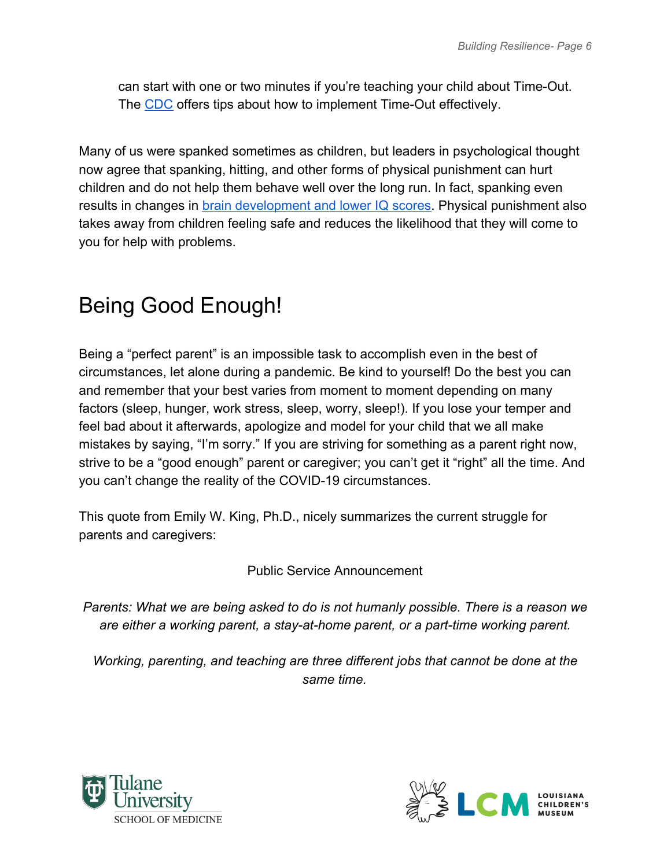can start with one or two minutes if you're teaching your child about Time-Out. The [CDC](https://www.cdc.gov/parents/essentials/timeout/index.html) offers tips about how to implement Time-Out effectively.

Many of us were spanked sometimes as children, but leaders in psychological thought now agree that spanking, hitting, and other forms of physical punishment can hurt children and do not help them behave well over the long run. In fact, spanking even results in changes in **brain development and lower IQ scores**. Physical punishment also takes away from children feeling safe and reduces the likelihood that they will come to you for help with problems.

### <span id="page-6-0"></span>Being Good Enough!

Being a "perfect parent" is an impossible task to accomplish even in the best of circumstances, let alone during a pandemic. Be kind to yourself! Do the best you can and remember that your best varies from moment to moment depending on many factors (sleep, hunger, work stress, sleep, worry, sleep!). If you lose your temper and feel bad about it afterwards, apologize and model for your child that we all make mistakes by saying, "I'm sorry." If you are striving for something as a parent right now, strive to be a "good enough" parent or caregiver; you can't get it "right" all the time. And you can't change the reality of the COVID-19 circumstances.

This quote from Emily W. King, Ph.D., nicely summarizes the current struggle for parents and caregivers:

Public Service Announcement

*Parents: What we are being asked to do is not humanly possible. There is a reason we are either a working parent, a stay-at-home parent, or a part-time working parent.*

*Working, parenting, and teaching are three different jobs that cannot be done at the same time.*



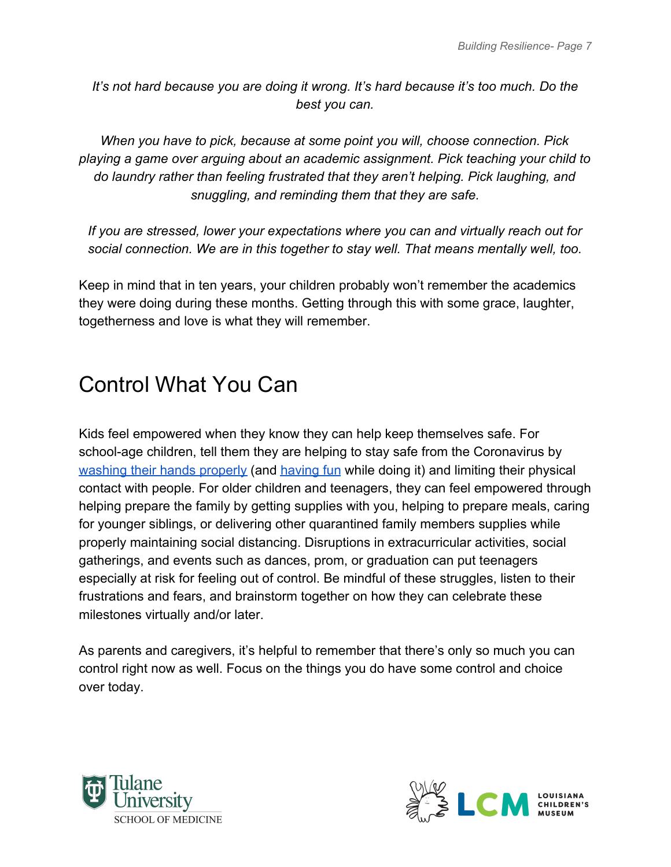*It's not hard because you are doing it wrong. It's hard because it's too much. Do the best you can.*

*When you have to pick, because at some point you will, choose connection. Pick playing a game over arguing about an academic assignment. Pick teaching your child to do laundry rather than feeling frustrated that they aren't helping. Pick laughing, and snuggling, and reminding them that they are safe.*

*If you are stressed, lower your expectations where you can and virtually reach out for social connection. We are in this together to stay well. That means mentally well, too.*

Keep in mind that in ten years, your children probably won't remember the academics they were doing during these months. Getting through this with some grace, laughter, togetherness and love is what they will remember.

# <span id="page-7-0"></span>Control What You Can

Kids feel empowered when they know they can help keep themselves safe. For school-age children, tell them they are helping to stay safe from the Coronavirus by [washing their hands properly](https://classroommagazines.scholastic.com/content/dam/classroom-magazines/magazines/home-page-logged-out/editorial/corona-virus/assets/Infographic_hand_washing.pdf) (and [having fun](https://www.youtube.com/watch?v=6__gfKaNg1Y) while doing it) and limiting their physical contact with people. For older children and teenagers, they can feel empowered through helping prepare the family by getting supplies with you, helping to prepare meals, caring for younger siblings, or delivering other quarantined family members supplies while properly maintaining social distancing. Disruptions in extracurricular activities, social gatherings, and events such as dances, prom, or graduation can put teenagers especially at risk for feeling out of control. Be mindful of these struggles, listen to their frustrations and fears, and brainstorm together on how they can celebrate these milestones virtually and/or later.

As parents and caregivers, it's helpful to remember that there's only so much you can control right now as well. Focus on the things you do have some control and choice over today.



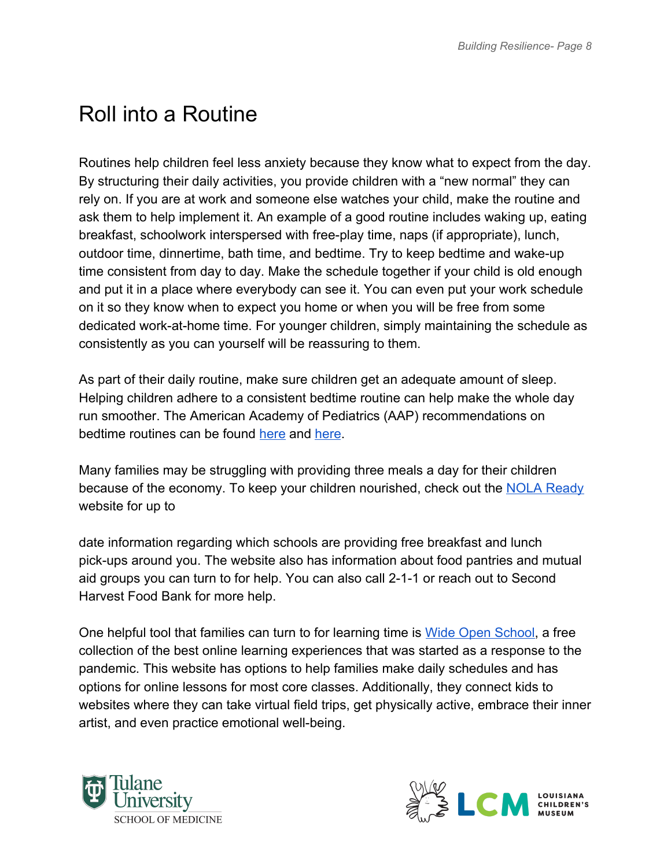# <span id="page-8-0"></span>Roll into a Routine

Routines help children feel less anxiety because they know what to expect from the day. By structuring their daily activities, you provide children with a "new normal" they can rely on. If you are at work and someone else watches your child, make the routine and ask them to help implement it. An example of a good routine includes waking up, eating breakfast, schoolwork interspersed with free-play time, naps (if appropriate), lunch, outdoor time, dinnertime, bath time, and bedtime. Try to keep bedtime and wake-up time consistent from day to day. Make the schedule together if your child is old enough and put it in a place where everybody can see it. You can even put your work schedule on it so they know when to expect you home or when you will be free from some dedicated work-at-home time. For younger children, simply maintaining the schedule as consistently as you can yourself will be reassuring to them.

As part of their daily routine, make sure children get an adequate amount of sleep. Helping children adhere to a consistent bedtime routine can help make the whole day run smoother. The American Academy of Pediatrics (AAP) recommendations on bedtime routines can be found [here](https://www.healthychildren.org/English/healthy-living/oral-health/Pages/Brush-Book-Bed.aspx) and [here](http://here/).

Many families may be struggling with providing three meals a day for their children because of the economy. To keep your children nourished, check out the [NOLA Ready](https://ready.nola.gov/home/#food) website for up to

date information regarding which schools are providing free breakfast and lunch pick-ups around you. The website also has information about food pantries and mutual aid groups you can turn to for help. You can also call 2-1-1 or reach out to Second Harvest Food Bank for more help.

One helpful tool that families can turn to for learning time is [Wide Open School](https://wideopenschool.org/), a free collection of the best online learning experiences that was started as a response to the pandemic. This website has options to help families make daily schedules and has options for online lessons for most core classes. Additionally, they connect kids to websites where they can take virtual field trips, get physically active, embrace their inner artist, and even practice emotional well-being.



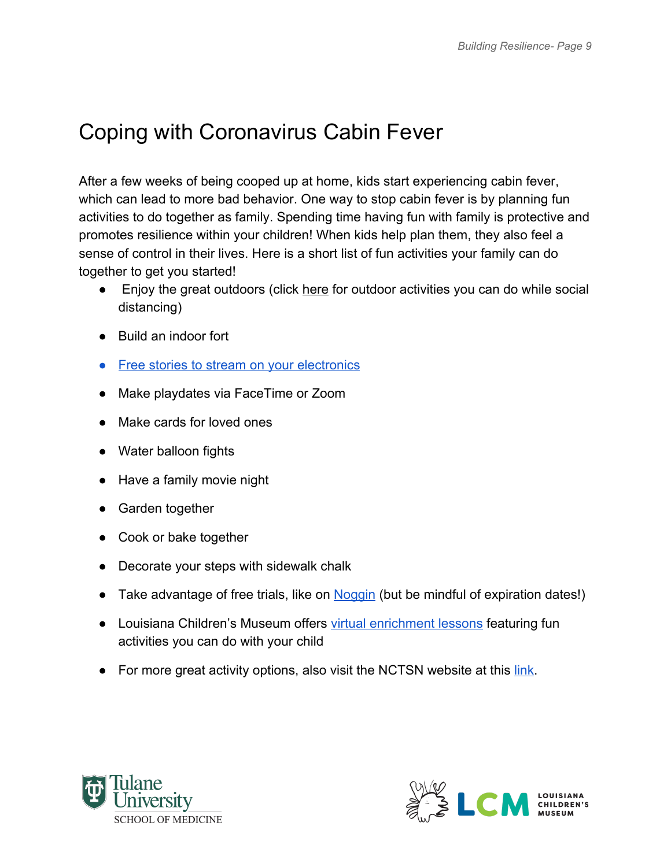### <span id="page-9-0"></span>Coping with Coronavirus Cabin Fever

After a few weeks of being cooped up at home, kids start experiencing cabin fever, which can lead to more bad behavior. One way to stop cabin fever is by planning fun activities to do together as family. Spending time having fun with family is protective and promotes resilience within your children! When kids help plan them, they also feel a sense of control in their lives. Here is a short list of fun activities your family can do together to get you started!

- Enjoy the great outdoors (click [here](https://www.healthychildren.org/English/health-issues/conditions/chest-lungs/Pages/Getting-Children-Outside.aspx) for outdoor activities you can do while social distancing)
- Build an indoor fort
- [Free stories to stream on your electronics](https://stories.audible.com/start-listen)
- Make playdates via FaceTime or Zoom
- Make cards for loved ones
- Water balloon fights
- Have a family movie night
- Garden together
- Cook or bake together
- Decorate your steps with sidewalk chalk
- Take advantage of free trials, like on [Noggin](https://www.noggin.com/?s_kwcid=AL%2111196%213%21428955605744%21b%21%21g%21%21%2Bgames%20%2Bfor%20%2Bkids&gclid=Cj0KCQjw4dr0BRCxARIsAKUNjWRSRteeCqUN3Fx_83NNZXOZn3HXAIgSGwCVq5hb_f7NaAVQw8i9FDoaAoM7EALw_wcB) (but be mindful of expiration dates!)
- Loui[s](https://www.youtube.com/user/lachildrensmuseum)iana Children's Museum offers [virtual enrichment lessons](https://www.youtube.com/user/lachildrensmuseum) featuring fun activities you can do with your child
- For more great activity options, also visit the NCTSN website at this [link.](https://www.nctsn.org/resources/simple-activities-children-and-adolescents)



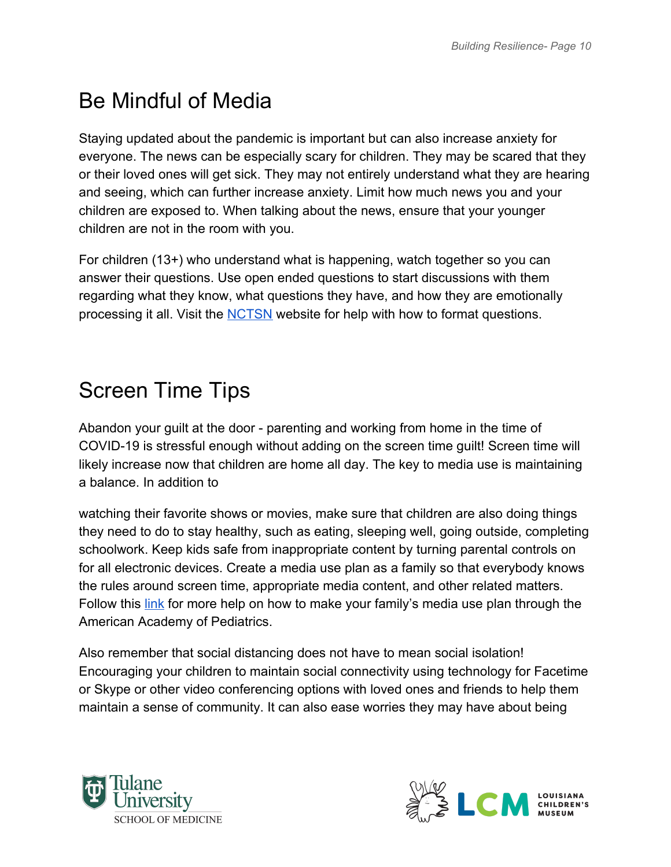### <span id="page-10-0"></span>Be Mindful of Media

Staying updated about the pandemic is important but can also increase anxiety for everyone. The news can be especially scary for children. They may be scared that they or their loved ones will get sick. They may not entirely understand what they are hearing and seeing, which can further increase anxiety. Limit how much news you and your children are exposed to. When talking about the news, ensure that your younger children are not in the room with you.

For children (13+) who understand what is happening, watch together so you can answer their questions. Use open ended questions to start discussions with them regarding what they know, what questions they have, and how they are emotionally processing it all. Visit the [NCTSN](https://www.nctsn.org/sites/default/files/resources/fact-sheet/supportingchildren-covid-factsheet.pdf) website for help with how to format questions.

### <span id="page-10-1"></span>Screen Time Tips

Abandon your guilt at the door - parenting and working from home in the time of COVID-19 is stressful enough without adding on the screen time guilt! Screen time will likely increase now that children are home all day. The key to media use is maintaining a balance. In addition to

watching their favorite shows or movies, make sure that children are also doing things they need to do to stay healthy, such as eating, sleeping well, going outside, completing schoolwork. Keep kids safe from inappropriate content by turning parental controls on for all electronic devices. Create a media use plan as a family so that everybody knows the rules around screen time, appropriate media content, and other related matters. Follow this [link](https://www.healthychildren.org/English/family-life/Media/Pages/How-to-Make-a-Family-Media-Use-Plan.aspx) for more help on how to make your family's media use plan through the American Academy of Pediatrics.

Also remember that social distancing does not have to mean social isolation! Encouraging your children to maintain social connectivity using technology for Facetime or Skype or other video conferencing options with loved ones and friends to help them maintain a sense of community. It can also ease worries they may have about being



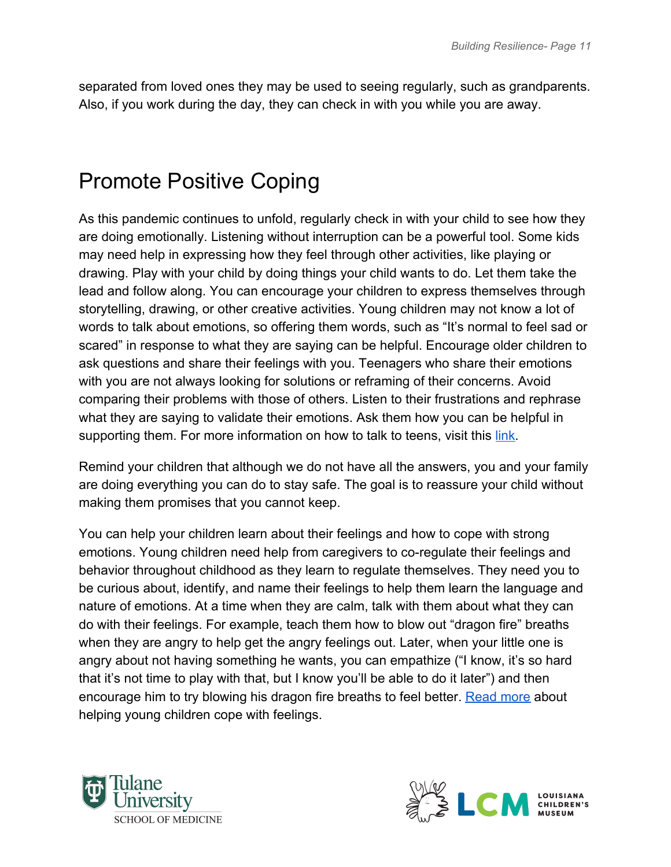separated from loved ones they may be used to seeing regularly, such as grandparents. Also, if you work during the day, they can check in with you while you are away.

#### <span id="page-11-0"></span>Promote Positive Coping

As this pandemic continues to unfold, regularly check in with your child to see how they are doing emotionally. Listening without interruption can be a powerful tool. Some kids may need help in expressing how they feel through other activities, like playing or drawing. Play with your child by doing things your child wants to do. Let them take the lead and follow along. You can encourage your children to express themselves through storytelling, drawing, or other creative activities. Young children may not know a lot of words to talk about emotions, so offering them words, such as "It's normal to feel sad or scared" in response to what they are saying can be helpful. Encourage older children to ask questions and share their feelings with you. Teenagers who share their emotions with you are not always looking for solutions or reframing of their concerns. Avoid comparing their problems with those of others. Listen to their frustrations and rephrase what they are saying to validate their emotions. Ask them how you can be helpful in supporting them. For more information on how to talk to teens, visit this [link](https://www.healthychildren.org/English/family-life/family-dynamics/communication-discipline/Pages/How-to-Communicate-with-a-Teenager.aspx).

Remind your children that although we do not have all the answers, you and your family are doing everything you can do to stay safe. The goal is to reassure your child without making them promises that you cannot keep.

You can help your children learn about their feelings and how to cope with strong emotions. Young children need help from caregivers to co-regulate their feelings and behavior throughout childhood as they learn to regulate themselves. They need you to be curious about, identify, and name their feelings to help them learn the language and nature of emotions. At a time when they are calm, talk with them about what they can do with their feelings. For example, teach them how to blow out "dragon fire" breaths when they are angry to help get the angry feelings out. Later, when your little one is angry about not having something he wants, you can empathize ("I know, it's so hard that it's not time to play with that, but I know you'll be able to do it later") and then encourage him to try blowing his dragon fire breaths to feel better. [Read more](https://www.zerotothree.org/resources/294-first-feelings-the-foundation-of-healthy-development-starting-from-birth) about helping young children cope with feelings.



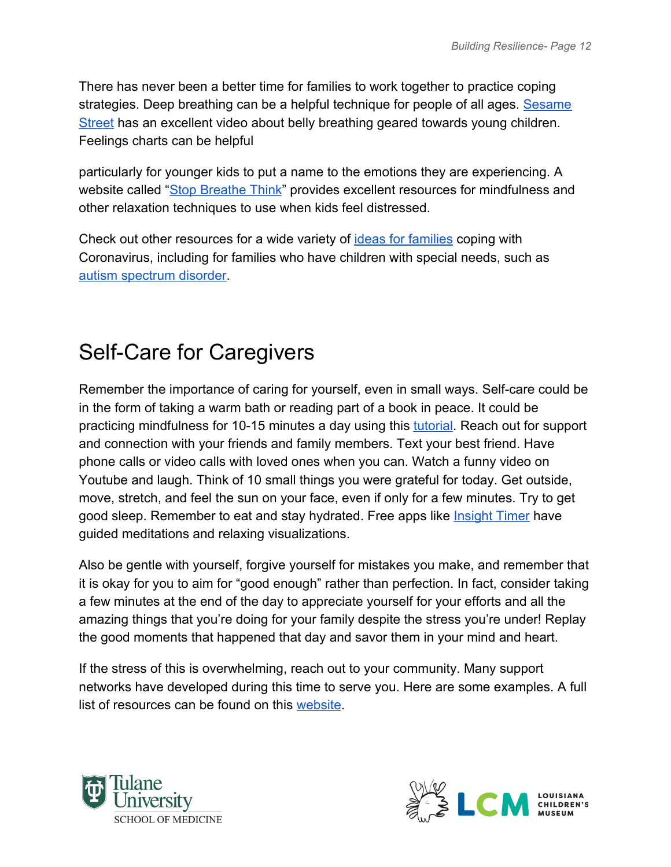There has never been a better time for families to work together to practice coping strategies. Deep breathing can be a helpful technique for people of all ages. [Sesame](https://www.youtube.com/watch?v=_mZbzDOpylA) [Street](https://www.youtube.com/watch?v=_mZbzDOpylA) has an excellent video about belly breathing geared towards young children. Feelings charts can be helpful

particularly for younger kids to put a name to the emotions they are experiencing. A website called ["Stop Breathe Think](https://www.stopbreathethink.com/kids/)" provides excellent resources for mindfulness and other relaxation techniques to use when kids feel distressed.

Check out other resources for a wide variety of [ideas for families](https://childmind.org/coping-during-covid-19-resources-for-parents/) coping with Coronavirus, including for families who have children with special needs, such as [autism spectrum disorder.](https://www.autism.org/covid-19-resources/)

#### <span id="page-12-0"></span>Self-Care for Caregivers

Remember the importance of caring for yourself, even in small ways. Self-care could be in the form of taking a warm bath or reading part of a book in peace. It could be practicing mindfulness for 10-15 minutes a day using this [tutorial](https://ggia.berkeley.edu/practice/mindful_breathing?_ga=2.32543678.1411241857.1586688730-862840046.1586688730). Reach out for support and connection with your friends and family members. Text your best friend. Have phone calls or video calls with loved ones when you can. Watch a funny video on Youtube and laugh. Think of 10 small things you were grateful for today. Get outside, move, stretch, and feel the sun on your face, even if only for a few minutes. Try to get good sleep. Remember to eat and stay hydrated. Free apps like **Insight Timer** have guided meditations and relaxing visualizations.

Also be gentle with yourself, forgive yourself for mistakes you make, and remember that it is okay for you to aim for "good enough" rather than perfection. In fact, consider taking a few minutes at the end of the day to appreciate yourself for your efforts and all the amazing things that you're doing for your family despite the stress you're under! Replay the good moments that happened that day and savor them in your mind and heart.

If the stress of this is overwhelming, reach out to your community. Many support networks have developed during this time to serve you. Here are some examples. A full list of resources can be found on this [website](https://ready.nola.gov/home/#distress).



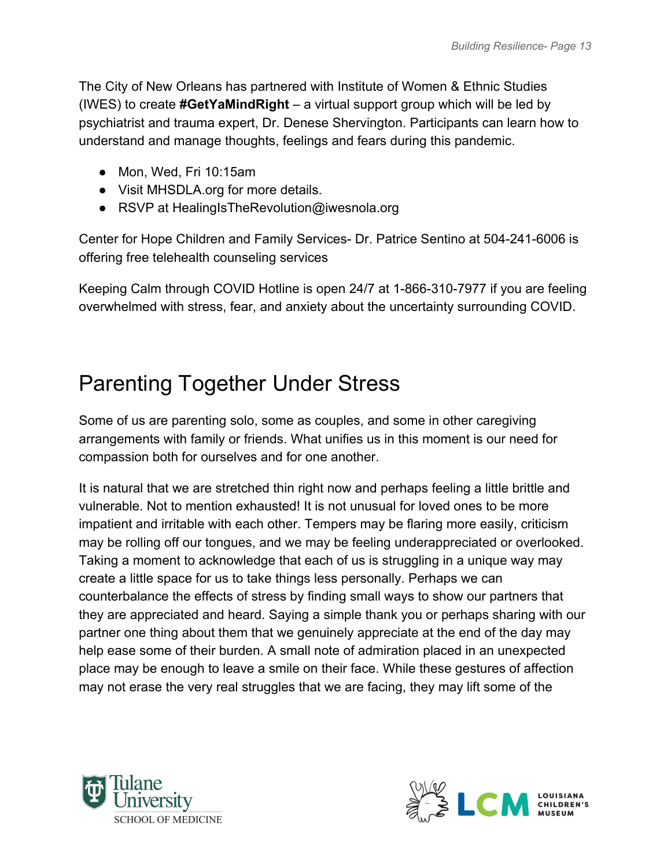The City of New Orleans has partnered with Institute of Women & Ethnic Studies (IWES) to create **#GetYaMindRight** – a virtual support group which will be led by psychiatrist and trauma expert, Dr. Denese Shervington. Participants can learn how to understand and manage thoughts, feelings and fears during this pandemic.

- Mon, Wed, Fri 10:15am
- Visit MHSDLA.org for more details.
- RSVP at HealingIsTheRevolution@iwesnola.org

Center for Hope Children and Family Services- Dr. Patrice Sentino at 504-241-6006 is offering free telehealth counseling services

Keeping Calm through COVID Hotline is open 24/7 at 1-866-310-7977 if you are feeling overwhelmed with stress, fear, and anxiety about the uncertainty surrounding COVID.

#### <span id="page-13-0"></span>Parenting Together Under Stress

Some of us are parenting solo, some as couples, and some in other caregiving arrangements with family or friends. What unifies us in this moment is our need for compassion both for ourselves and for one another.

It is natural that we are stretched thin right now and perhaps feeling a little brittle and vulnerable. Not to mention exhausted! It is not unusual for loved ones to be more impatient and irritable with each other. Tempers may be flaring more easily, criticism may be rolling off our tongues, and we may be feeling underappreciated or overlooked. Taking a moment to acknowledge that each of us is struggling in a unique way may create a little space for us to take things less personally. Perhaps we can counterbalance the effects of stress by finding small ways to show our partners that they are appreciated and heard. Saying a simple thank you or perhaps sharing with our partner one thing about them that we genuinely appreciate at the end of the day may help ease some of their burden. A small note of admiration placed in an unexpected place may be enough to leave a smile on their face. While these gestures of affection may not erase the very real struggles that we are facing, they may lift some of the



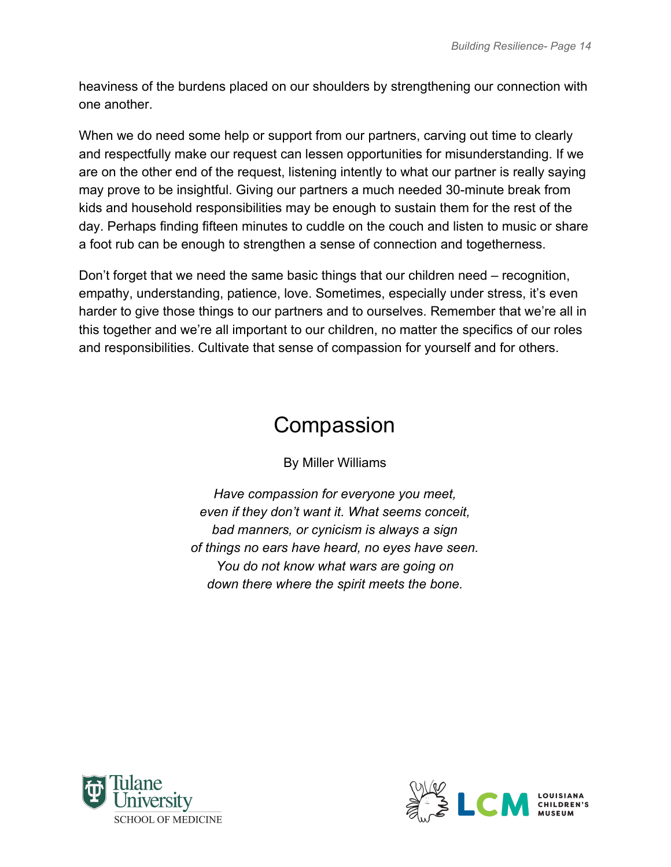heaviness of the burdens placed on our shoulders by strengthening our connection with one another.

When we do need some help or support from our partners, carving out time to clearly and respectfully make our request can lessen opportunities for misunderstanding. If we are on the other end of the request, listening intently to what our partner is really saying may prove to be insightful. Giving our partners a much needed 30-minute break from kids and household responsibilities may be enough to sustain them for the rest of the day. Perhaps finding fifteen minutes to cuddle on the couch and listen to music or share a foot rub can be enough to strengthen a sense of connection and togetherness.

Don't forget that we need the same basic things that our children need – recognition, empathy, understanding, patience, love. Sometimes, especially under stress, it's even harder to give those things to our partners and to ourselves. Remember that we're all in this together and we're all important to our children, no matter the specifics of our roles and responsibilities. Cultivate that sense of compassion for yourself and for others.

#### **Compassion**

By Miller Williams

<span id="page-14-0"></span>*Have compassion for everyone you meet, even if they don't want it. What seems conceit, bad manners, or cynicism is always a sign of things no ears have heard, no eyes have seen. You do not know what wars are going on down there where the spirit meets the bone.*



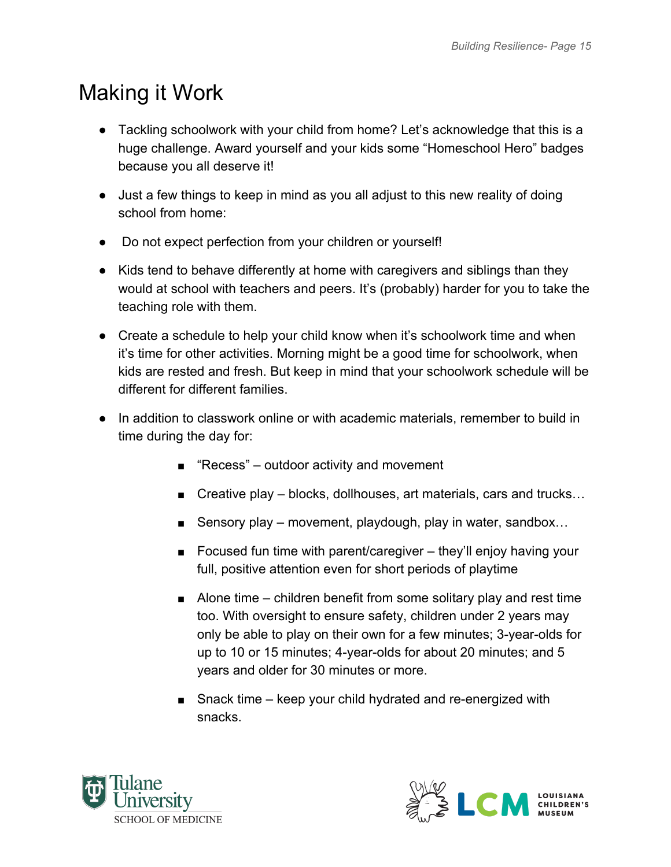#### <span id="page-15-0"></span>Making it Work

- Tackling schoolwork with your child from home? Let's acknowledge that this is a huge challenge. Award yourself and your kids some "Homeschool Hero" badges because you all deserve it!
- Just a few things to keep in mind as you all adjust to this new reality of doing school from home:
- Do not expect perfection from your children or yourself!
- Kids tend to behave differently at home with caregivers and siblings than they would at school with teachers and peers. It's (probably) harder for you to take the teaching role with them.
- Create a schedule to help your child know when it's schoolwork time and when it's time for other activities. Morning might be a good time for schoolwork, when kids are rested and fresh. But keep in mind that your schoolwork schedule will be different for different families.
- In addition to classwork online or with academic materials, remember to build in time during the day for:
	- "Recess" outdoor activity and movement
	- Creative play blocks, dollhouses, art materials, cars and trucks...
	- Sensory play movement, playdough, play in water, sandbox...
	- Focused fun time with parent/caregiver they'll enjoy having your full, positive attention even for short periods of playtime
	- Alone time children benefit from some solitary play and rest time too. With oversight to ensure safety, children under 2 years may only be able to play on their own for a few minutes; 3-year-olds for up to 10 or 15 minutes; 4-year-olds for about 20 minutes; and 5 years and older for 30 minutes or more.
	- Snack time keep your child hydrated and re-energized with snacks.



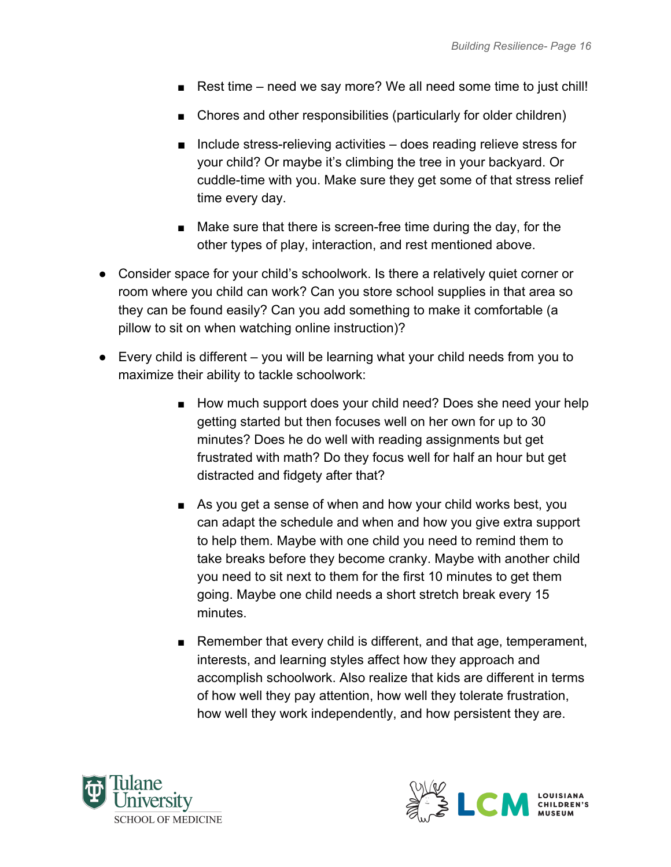- Rest time need we say more? We all need some time to just chill!
- Chores and other responsibilities (particularly for older children)
- Include stress-relieving activities does reading relieve stress for your child? Or maybe it's climbing the tree in your backyard. Or cuddle-time with you. Make sure they get some of that stress relief time every day.
- Make sure that there is screen-free time during the day, for the other types of play, interaction, and rest mentioned above.
- Consider space for your child's schoolwork. Is there a relatively quiet corner or room where you child can work? Can you store school supplies in that area so they can be found easily? Can you add something to make it comfortable (a pillow to sit on when watching online instruction)?
- Every child is different you will be learning what your child needs from you to maximize their ability to tackle schoolwork:
	- How much support does your child need? Does she need your help getting started but then focuses well on her own for up to 30 minutes? Does he do well with reading assignments but get frustrated with math? Do they focus well for half an hour but get distracted and fidgety after that?
	- As you get a sense of when and how your child works best, you can adapt the schedule and when and how you give extra support to help them. Maybe with one child you need to remind them to take breaks before they become cranky. Maybe with another child you need to sit next to them for the first 10 minutes to get them going. Maybe one child needs a short stretch break every 15 minutes.
	- Remember that every child is different, and that age, temperament, interests, and learning styles affect how they approach and accomplish schoolwork. Also realize that kids are different in terms of how well they pay attention, how well they tolerate frustration, how well they work independently, and how persistent they are.



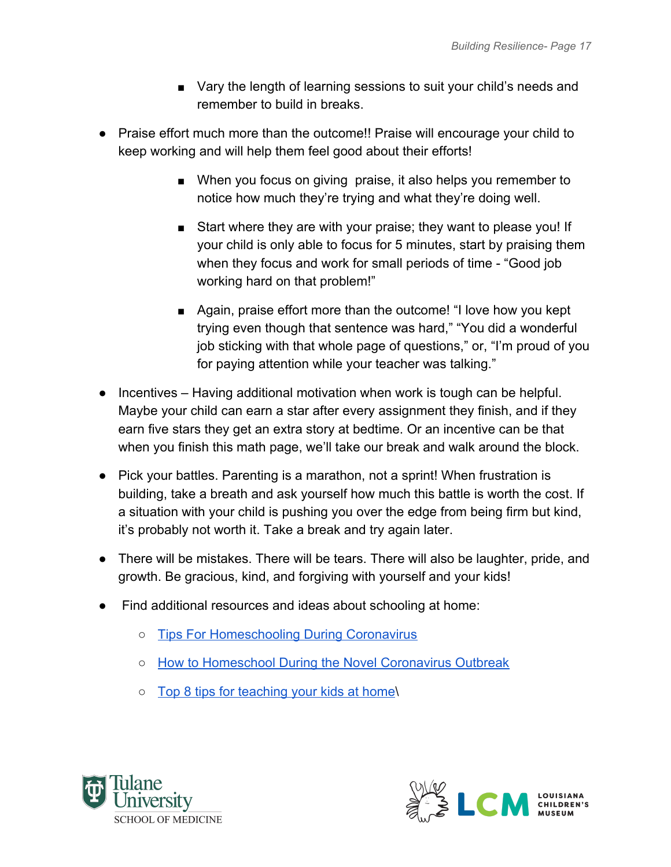- Vary the length of learning sessions to suit your child's needs and remember to build in breaks.
- Praise effort much more than the outcome!! Praise will encourage your child to keep working and will help them feel good about their efforts!
	- When you focus on giving praise, it also helps you remember to notice how much they're trying and what they're doing well.
	- Start where they are with your praise; they want to please you! If your child is only able to focus for 5 minutes, start by praising them when they focus and work for small periods of time - "Good job working hard on that problem!"
	- Again, praise effort more than the outcome! "I love how you kept trying even though that sentence was hard," "You did a wonderful job sticking with that whole page of questions," or, "I'm proud of you for paying attention while your teacher was talking."
- Incentives Having additional motivation when work is tough can be helpful. Maybe your child can earn a star after every assignment they finish, and if they earn five stars they get an extra story at bedtime. Or an incentive can be that when you finish this math page, we'll take our break and walk around the block.
- Pick your battles. Parenting is a marathon, not a sprint! When frustration is building, take a breath and ask yourself how much this battle is worth the cost. If a situation with your child is pushing you over the edge from being firm but kind, it's probably not worth it. Take a break and try again later.
- There will be mistakes. There will be tears. There will also be laughter, pride, and growth. Be gracious, kind, and forgiving with yourself and your kids!
- Find additional resources and ideas about schooling at home:
	- [Tips For Homeschooling During Coronavirus](https://www.npr.org/2020/03/23/820228206/6-tips-for-homeschooling-during-coronavirus)
	- [How to Homeschool During the Novel Coronavirus Outbreak](https://www.goodhousekeeping.com/life/parenting/a31806310/coronavirus-homeschool-tips/)
	- [Top 8 tips for teaching your kids at home\](https://www.businessinsider.com/8-tips-from-elementary-school-teacher-teaching-kids-at-home-2020-3)